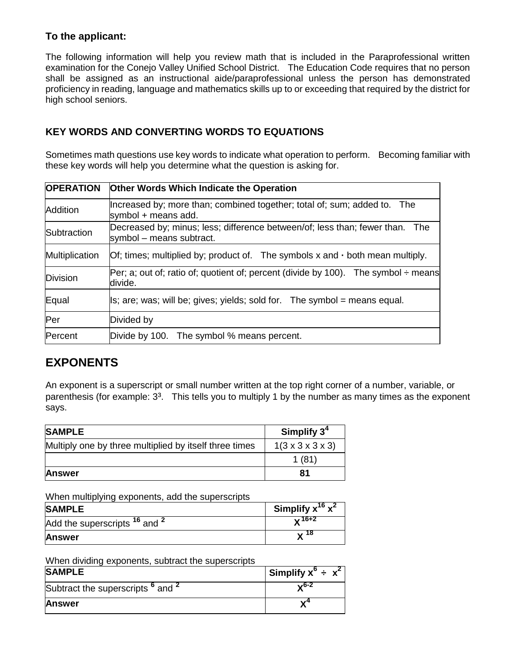## **To the applicant:**

The following information will help you review math that is included in the Paraprofessional written examination for the Conejo Valley Unified School District. The Education Code requires that no person shall be assigned as an instructional aide/paraprofessional unless the person has demonstrated proficiency in reading, language and mathematics skills up to or exceeding that required by the district for high school seniors.

## **KEY WORDS AND CONVERTING WORDS TO EQUATIONS**

Sometimes math questions use key words to indicate what operation to perform. Becoming familiar with these key words will help you determine what the question is asking for.

| <b>OPERATION</b> | <b>Other Words Which Indicate the Operation</b>                                                          |  |
|------------------|----------------------------------------------------------------------------------------------------------|--|
| Addition         | Increased by; more than; combined together; total of; sum; added to. The<br>symbol $+$ means add.        |  |
| Subtraction      | Decreased by; minus; less; difference between/of; less than; fewer than. The<br>symbol - means subtract. |  |
| Multiplication   | Of; times; multiplied by; product of. The symbols $x$ and $\cdot$ both mean multiply.                    |  |
| Division         | Per; a; out of; ratio of; quotient of; percent (divide by 100). The symbol $\div$ means<br>divide.       |  |
| Equal            | $\mathsf{Is}$ ; are; was; will be; gives; yields; sold for. The symbol = means equal.                    |  |
| Per              | Divided by                                                                                               |  |
| Percent          | Divide by 100. The symbol % means percent.                                                               |  |

## **EXPONENTS**

An exponent is a superscript or small number written at the top right corner of a number, variable, or parenthesis (for example:  $3<sup>3</sup>$ . This tells you to multiply 1 by the number as many times as the exponent says.

| <b>SAMPLE</b>                                          | Simplify $34$                     |
|--------------------------------------------------------|-----------------------------------|
| Multiply one by three multiplied by itself three times | $1(3 \times 3 \times 3 \times 3)$ |
|                                                        | 1(81)                             |
| <b>Answer</b>                                          | 81                                |

When multiplying exponents, add the superscripts

| <b>SAMPLE</b>                                       | Simplify $x^{16}$ $x^2$ |
|-----------------------------------------------------|-------------------------|
| Add the superscripts <sup>16</sup> and <sup>2</sup> | $\sqrt{16+2}$           |
| <b>Answer</b>                                       | - 18                    |

When dividing exponents, subtract the superscripts

| <b>SAMPLE</b>                                           | Simplify $x^{\circ}$ ÷ $x^2$ |
|---------------------------------------------------------|------------------------------|
| Subtract the superscripts <sup>o</sup> and <sup>2</sup> | .,6-2                        |
| <b>Answer</b>                                           |                              |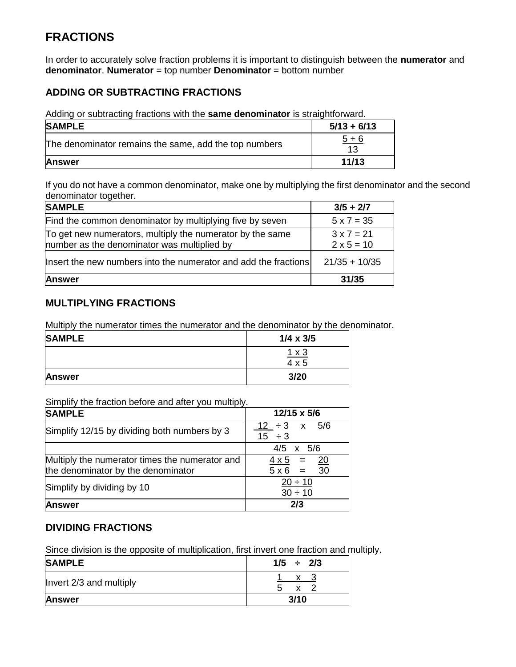## **FRACTIONS**

In order to accurately solve fraction problems it is important to distinguish between the **numerator** and **denominator**. **Numerator** = top number **Denominator** = bottom number

## **ADDING OR SUBTRACTING FRACTIONS**

Adding or subtracting fractions with the **same denominator** is straightforward.

| <b>SAMPLE</b>                                         | $5/13 + 6/13$         |
|-------------------------------------------------------|-----------------------|
| The denominator remains the same, add the top numbers | $\frac{5+6}{5}$<br>13 |
| <b>Answer</b>                                         | 11/13                 |

If you do not have a common denominator, make one by multiplying the first denominator and the second denominator together.

| <b>SAMPLE</b>                                                                                            | $3/5 + 2/7$                            |
|----------------------------------------------------------------------------------------------------------|----------------------------------------|
| Find the common denominator by multiplying five by seven                                                 | $5 \times 7 = 35$                      |
| To get new numerators, multiply the numerator by the same<br>number as the denominator was multiplied by | $3 \times 7 = 21$<br>$2 \times 5 = 10$ |
| Insert the new numbers into the numerator and add the fractions                                          | $21/35 + 10/35$                        |
| <b>Answer</b>                                                                                            | 31/35                                  |

### **MULTIPLYING FRACTIONS**

Multiply the numerator times the numerator and the denominator by the denominator.

| <b>SAMPLE</b> | $1/4 \times 3/5$ |
|---------------|------------------|
|               | $1 \times 3$     |
|               | $4 \times 5$     |
| <b>Answer</b> | 3/20             |

#### Simplify the fraction before and after you multiply.

| <b>SAMPLE</b>                                                                        | 12/15 x 5/6                                                            |
|--------------------------------------------------------------------------------------|------------------------------------------------------------------------|
| Simplify 12/15 by dividing both numbers by 3                                         | $12 \div 3$ x 5/6<br>$15 \div 3$                                       |
|                                                                                      | $4/5 \times 5/6$                                                       |
| Multiply the numerator times the numerator and<br>the denominator by the denominator | $\overline{20}$<br>$4 \times 5 =$<br>$\overline{30}$<br>$5 \times 6 =$ |
| Simplify by dividing by 10                                                           | $20 \div 10$<br>$30 \div 10$                                           |
| <b>Answer</b>                                                                        | 2/3                                                                    |

## **DIVIDING FRACTIONS**

Since division is the opposite of multiplication, first invert one fraction and multiply.

| <b>SAMPLE</b>           | $1/5 \div 2/3$    |
|-------------------------|-------------------|
| Invert 2/3 and multiply | x.<br>X<br>.<br>C |
| <b>Answer</b>           | 3/10              |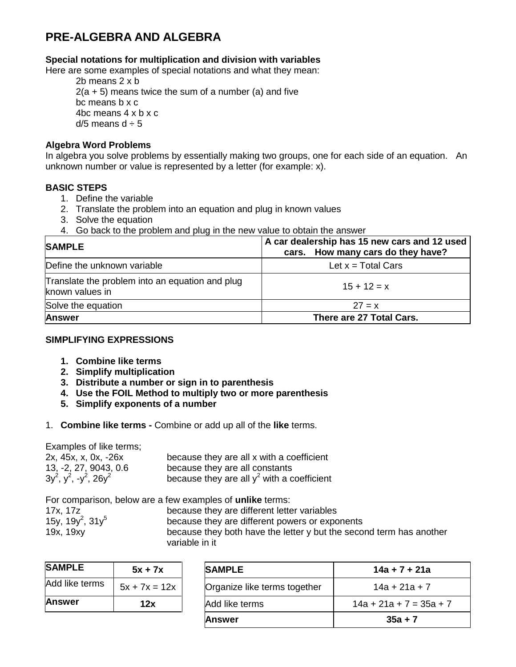## **PRE-ALGEBRA AND ALGEBRA**

#### **Special notations for multiplication and division with variables**

Here are some examples of special notations and what they mean:

2b means 2 x b  $2(a + 5)$  means twice the sum of a number (a) and five bc means b x c 4bc means 4 x b x c d/5 means  $d \div 5$ 

#### **Algebra Word Problems**

In algebra you solve problems by essentially making two groups, one for each side of an equation. An unknown number or value is represented by a letter (for example: x).

#### **BASIC STEPS**

- 1. Define the variable
- 2. Translate the problem into an equation and plug in known values
- 3. Solve the equation
- 4. Go back to the problem and plug in the new value to obtain the answer

| <b>SAMPLE</b>                                                      | A car dealership has 15 new cars and 12 used<br>cars. How many cars do they have? |
|--------------------------------------------------------------------|-----------------------------------------------------------------------------------|
| Define the unknown variable                                        | Let $x = Total Cars$                                                              |
| Translate the problem into an equation and plug<br>known values in | $15 + 12 = x$                                                                     |
| Solve the equation                                                 | $27 = x$                                                                          |
| <b>Answer</b>                                                      | There are 27 Total Cars.                                                          |

#### **SIMPLIFYING EXPRESSIONS**

- **1. Combine like terms**
- **2. Simplify multiplication**
- **3. Distribute a number or sign in to parenthesis**
- **4. Use the FOIL Method to multiply two or more parenthesis**
- **5. Simplify exponents of a number**
- 1. **Combine like terms -** Combine or add up all of the **like** terms.

Examples of like terms;

| 2x, 45x, x, 0x, -26x              | because they are all x with a coefficient     |
|-----------------------------------|-----------------------------------------------|
| 13, -2, 27, 9043, 0.6             | because they are all constants                |
| $3y^2$ , $y^2$ , $-y^2$ , $26y^2$ | because they are all $y^2$ with a coefficient |

|                                          | For comparison, below are a few examples of <b>unlike</b> terms:    |
|------------------------------------------|---------------------------------------------------------------------|
| 17x, 17z                                 | because they are different letter variables                         |
| 15y, 19y <sup>2</sup> , 31y <sup>5</sup> | because they are different powers or exponents                      |
| 19x, 19xy                                | because they both have the letter y but the second term has another |
|                                          | variable in it                                                      |

| <b>SAMPLE</b>  | $5x + 7x$       |
|----------------|-----------------|
| Add like terms | $5x + 7x = 12x$ |
| <b>Answer</b>  | 12x             |

| <b>SAMPLE</b>  | $5x + 7x$       | <b>SAMPLE</b>                | 14a + 7 + 21a             |
|----------------|-----------------|------------------------------|---------------------------|
| Add like terms | $5x + 7x = 12x$ | Organize like terms together | $14a + 21a + 7$           |
| Answer         | 12x             | Add like terms               | $14a + 21a + 7 = 35a + 7$ |
|                |                 | <b>Answer</b>                | $35a + 7$                 |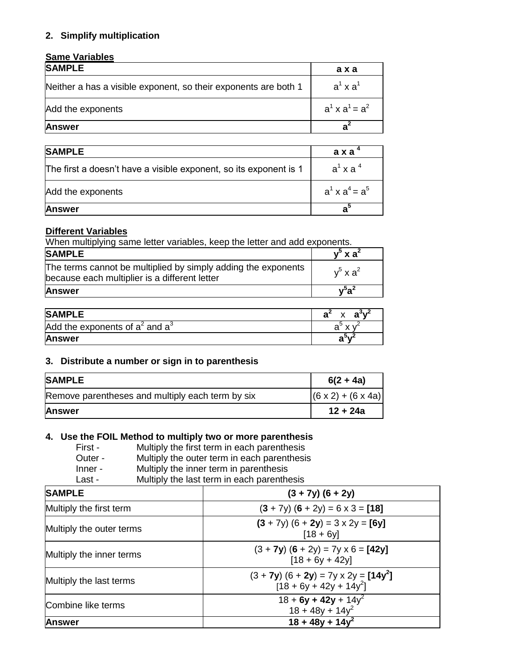### **2. Simplify multiplication**

### **Same Variables**

| <b>SAMPLE</b>                                                   | axa                    |
|-----------------------------------------------------------------|------------------------|
| Neither a has a visible exponent, so their exponents are both 1 | $a^1$ x $a^1$          |
| Add the exponents                                               | $a^1 \times a^1 = a^2$ |
| <b>Answer</b>                                                   | я                      |

| <b>SAMPLE</b>                                                     | a x a "               |
|-------------------------------------------------------------------|-----------------------|
| The first a doesn't have a visible exponent, so its exponent is 1 | $a^1$ x a $4$         |
| Add the exponents                                                 | $a^1$ x $a^4$ = $a^5$ |
| <b>Answer</b>                                                     | ลั                    |

#### **Different Variables**

When multiplying same letter variables, keep the letter and add exponents.

| <b>SAMPLE</b>                                                                                                  | $v^5$ x a <sup>2</sup> |
|----------------------------------------------------------------------------------------------------------------|------------------------|
| The terms cannot be multiplied by simply adding the exponents<br>because each multiplier is a different letter | $v^5$ x a <sup>2</sup> |
| <b>Answer</b>                                                                                                  | $v^5a^2$               |

| <b>SAMPLE</b>                        | $\sim$<br>$\cdot$ |
|--------------------------------------|-------------------|
| Add the exponents of $a^2$ and $a^3$ | а                 |
| <b>Answer</b>                        | а                 |

#### **3. Distribute a number or sign in to parenthesis**

| <b>SAMPLE</b>                                    | $6(2 + 4a)$                    |
|--------------------------------------------------|--------------------------------|
| Remove parentheses and multiply each term by six | $(6 \times 2) + (6 \times 4a)$ |
| <b>Answer</b>                                    | 12 + 24a                       |

### **4. Use the FOIL Method to multiply two or more parenthesis**

| First - | Multiply the first term in each parenthesis |
|---------|---------------------------------------------|
| Outer - | Multiply the outer term in each parenthesis |

- 
- Inner Multiply the inner term in parenthesis Last - Multiply the last term in each parenthesis

| <b>SAMPLE</b>            | $(3 + 7y)$ $(6 + 2y)$                                                       |  |
|--------------------------|-----------------------------------------------------------------------------|--|
| Multiply the first term  | $(3 + 7y) (6 + 2y) = 6 \times 3 = [18]$                                     |  |
| Multiply the outer terms | $(3 + 7y)$ $(6 + 2y) = 3 \times 2y = [6y]$<br>$[18 + 6y]$                   |  |
| Multiply the inner terms | $(3 + 7y)$ $(6 + 2y) = 7y \times 6 = [42y]$<br>$[18 + 6y + 42y]$            |  |
| Multiply the last terms  | $(3 + 7y)$ $(6 + 2y) = 7y \times 2y = [14y^2]$<br>$[18 + 6y + 42y + 14y^2]$ |  |
| Combine like terms       | $18 + 6y + 42y + 14y^2$<br>$18 + 48y + 14y^2$                               |  |
| <b>Answer</b>            | $18 + 48y + 14y^2$                                                          |  |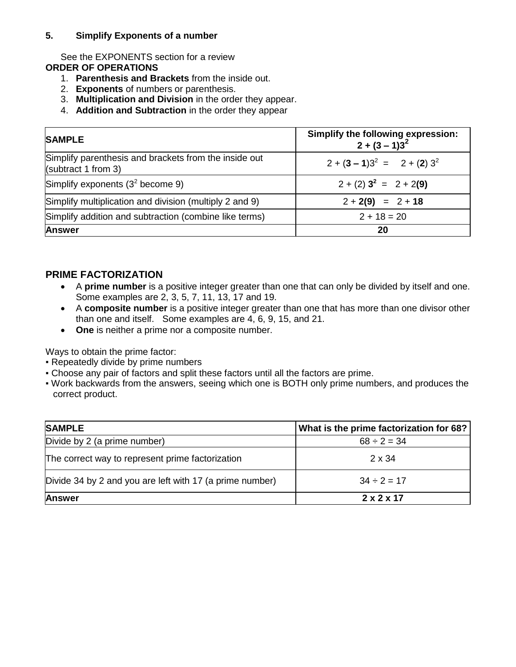#### **5. Simplify Exponents of a number**

See the EXPONENTS section for a review **ORDER OF OPERATIONS**

- 1. **Parenthesis and Brackets** from the inside out.
- 2. **Exponents** of numbers or parenthesis.
- 3. **Multiplication and Division** in the order they appear.
- 4. **Addition and Subtraction** in the order they appear

| <b>SAMPLE</b>                                                                | Simplify the following expression:<br>$2 + (3 - 1)3^{2}$ |
|------------------------------------------------------------------------------|----------------------------------------------------------|
| Simplify parenthesis and brackets from the inside out<br>(subtract 1 from 3) | $2 + (3 - 1)3^{2} = 2 + (2) 3^{2}$                       |
| Simplify exponents $(3^2$ become 9)                                          | $2 + (2)3^{2} = 2 + 2(9)$                                |
| Simplify multiplication and division (multiply 2 and 9)                      | $2 + 2(9) = 2 + 18$                                      |
| Simplify addition and subtraction (combine like terms)                       | $2 + 18 = 20$                                            |
| <b>Answer</b>                                                                | 20                                                       |

### **PRIME FACTORIZATION**

- A **prime number** is a positive integer greater than one that can only be divided by itself and one. Some examples are 2, 3, 5, 7, 11, 13, 17 and 19.
- A **composite number** is a positive integer greater than one that has more than one divisor other than one and itself. Some examples are 4, 6, 9, 15, and 21.
- **One** is neither a prime nor a composite number.

Ways to obtain the prime factor:

- Repeatedly divide by prime numbers
- Choose any pair of factors and split these factors until all the factors are prime.
- Work backwards from the answers, seeing which one is BOTH only prime numbers, and produces the correct product.

| <b>SAMPLE</b>                                            | What is the prime factorization for 68? |
|----------------------------------------------------------|-----------------------------------------|
| Divide by 2 (a prime number)                             | $68 \div 2 = 34$                        |
| The correct way to represent prime factorization         | $2 \times 34$                           |
| Divide 34 by 2 and you are left with 17 (a prime number) | $34 \div 2 = 17$                        |
| <b>Answer</b>                                            | $2 \times 2 \times 17$                  |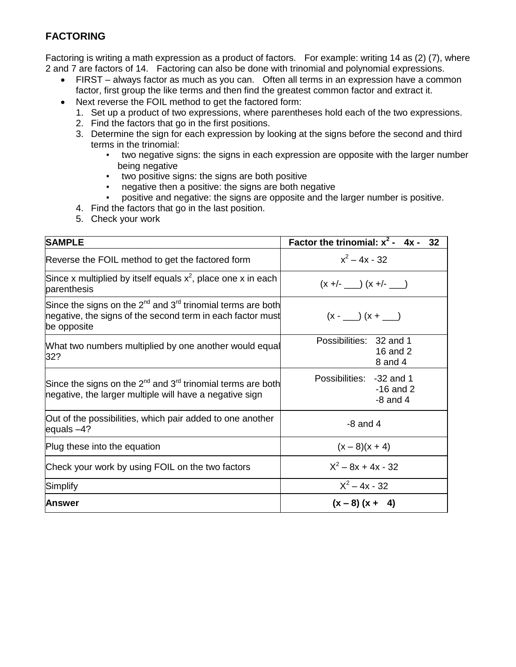## **FACTORING**

Factoring is writing a math expression as a product of factors. For example: writing 14 as (2) (7), where 2 and 7 are factors of 14. Factoring can also be done with trinomial and polynomial expressions.

- FIRST always factor as much as you can. Often all terms in an expression have a common factor, first group the like terms and then find the greatest common factor and extract it.
- Next reverse the FOIL method to get the factored form:
	- 1. Set up a product of two expressions, where parentheses hold each of the two expressions.
	- 2. Find the factors that go in the first positions.
	- 3. Determine the sign for each expression by looking at the signs before the second and third terms in the trinomial:
		- two negative signs: the signs in each expression are opposite with the larger number being negative
		- two positive signs: the signs are both positive
		- negative then a positive: the signs are both negative
		- positive and negative: the signs are opposite and the larger number is positive.
	- 4. Find the factors that go in the last position.
	- 5. Check your work

| <b>SAMPLE</b>                                                                                                                                      | Factor the trinomial: $x^2 - 4x -$<br>32                |
|----------------------------------------------------------------------------------------------------------------------------------------------------|---------------------------------------------------------|
| Reverse the FOIL method to get the factored form                                                                                                   | $x^2 - 4x - 32$                                         |
| Since x multiplied by itself equals $x^2$ , place one x in each<br>parenthesis                                                                     | $(x +/- ) (x +/- )$                                     |
| Since the signs on the $2^{nd}$ and $3^{rd}$ trinomial terms are both<br>negative, the signs of the second term in each factor must<br>be opposite | $(x - ) (x + )$                                         |
| What two numbers multiplied by one another would equal<br>32?                                                                                      | Possibilities: 32 and 1<br>16 and 2<br>8 and 4          |
| Since the signs on the 2 <sup>nd</sup> and 3 <sup>rd</sup> trinomial terms are both<br>negative, the larger multiple will have a negative sign     | Possibilities: -32 and 1<br>$-16$ and 2<br>$-8$ and $4$ |
| Out of the possibilities, which pair added to one another<br>equals $-4?$                                                                          | $-8$ and 4                                              |
| Plug these into the equation                                                                                                                       | $(x-8)(x + 4)$                                          |
| Check your work by using FOIL on the two factors                                                                                                   | $X^2 - 8x + 4x - 32$                                    |
| Simplify                                                                                                                                           | $X^2 - 4x - 32$                                         |
| <b>Answer</b>                                                                                                                                      | $(x - 8)(x + 4)$                                        |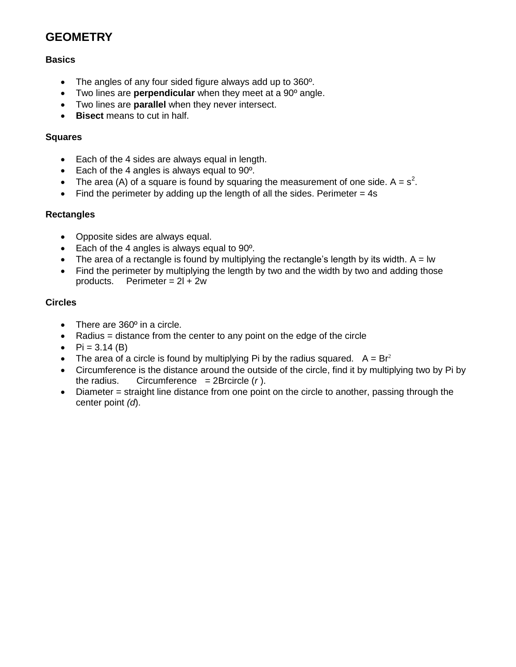## **GEOMETRY**

#### **Basics**

- The angles of any four sided figure always add up to 360<sup>o</sup>.
- Two lines are **perpendicular** when they meet at a 90º angle.
- Two lines are **parallel** when they never intersect.
- **Bisect** means to cut in half.

#### **Squares**

- Each of the 4 sides are always equal in length.
- Each of the 4 angles is always equal to  $90^\circ$ .
- The area (A) of a square is found by squaring the measurement of one side.  $A = s^2$ .
- Find the perimeter by adding up the length of all the sides. Perimeter  $= 4s$

#### **Rectangles**

- Opposite sides are always equal.
- Each of the 4 angles is always equal to 90<sup>o</sup>.
- The area of a rectangle is found by multiplying the rectangle's length by its width.  $A = lw$
- Find the perimeter by multiplying the length by two and the width by two and adding those products. Perimeter =  $2l + 2w$

#### **Circles**

- There are 360° in a circle.
- Radius  $=$  distance from the center to any point on the edge of the circle
- $Pi = 3.14$  (B)
- The area of a circle is found by multiplying Pi by the radius squared.  $A = Br^2$
- Circumference is the distance around the outside of the circle, find it by multiplying two by Pi by the radius. Circumference  $= 2B$ rcircle  $(r)$ .
- Diameter = straight line distance from one point on the circle to another, passing through the center point *(d*).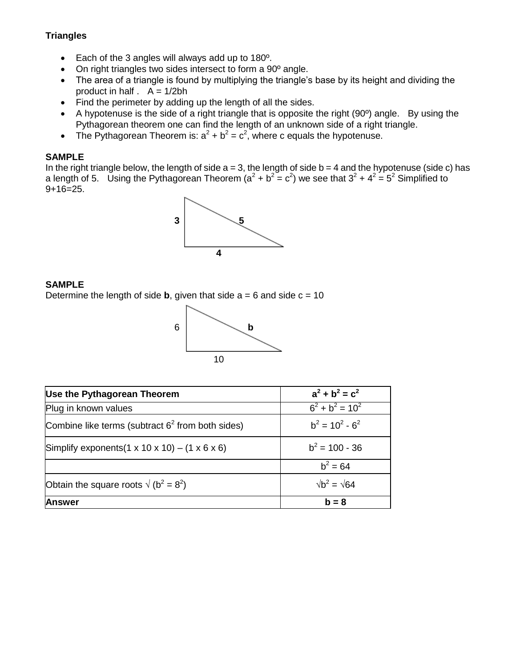### **Triangles**

- Each of the 3 angles will always add up to 180º.
- On right triangles two sides intersect to form a 90<sup>°</sup> angle.
- The area of a triangle is found by multiplying the triangle's base by its height and dividing the product in half  $A = 1/2bh$
- Find the perimeter by adding up the length of all the sides.
- A hypotenuse is the side of a right triangle that is opposite the right (90º) angle. By using the Pythagorean theorem one can find the length of an unknown side of a right triangle.
- The Pythagorean Theorem is:  $a^2 + b^2 = c^2$ , where c equals the hypotenuse.

### **SAMPLE**

In the right triangle below, the length of side  $a = 3$ , the length of side  $b = 4$  and the hypotenuse (side c) has a length of 5. Using the Pythagorean Theorem ( $a^2 + b^2 = c^2$ ) we see that  $3^2 + 4^2 = 5^2$  Simplified to  $9+16=25$ .



#### **SAMPLE**

Determine the length of side **b**, given that side  $a = 6$  and side  $c = 10$ 



| Use the Pythagorean Theorem                                          | $a^2 + b^2 = c^2$        |
|----------------------------------------------------------------------|--------------------------|
| Plug in known values                                                 | $6^2 + b^2 = 10^2$       |
| Combine like terms (subtract $62$ from both sides)                   | $b^2 = 10^2 - 6^2$       |
| Simplify exponents $(1 \times 10 \times 10) - (1 \times 6 \times 6)$ | $b^2$ = 100 - 36         |
|                                                                      | $b^2 = 64$               |
| Obtain the square roots $\sqrt{(b^2 - 8^2)}$                         | $\sqrt{b^2} = \sqrt{64}$ |
| <b>Answer</b>                                                        | $b = 8$                  |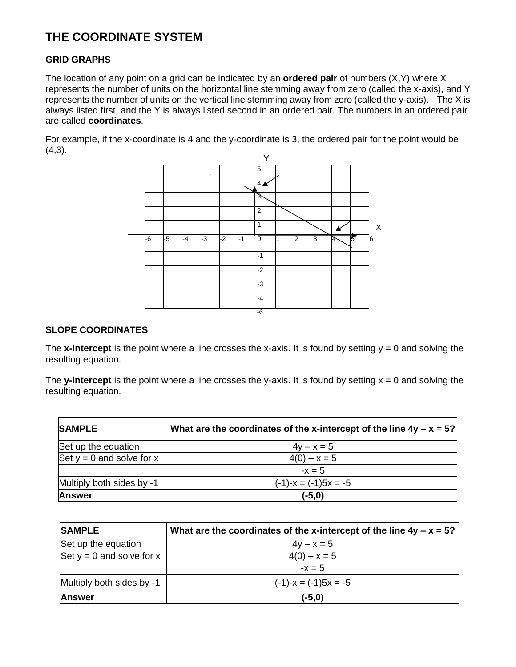## **THE COORDINATE SYSTEM**

#### **GRID GRAPHS**

The location of any point on a grid can be indicated by an **ordered pair** of numbers (X,Y) where X represents the number of units on the horizontal line stemming away from zero (called the x-axis), and Y represents the number of units on the vertical line stemming away from zero (called the y-axis). The X is always listed first, and the Y is always listed second in an ordered pair. The numbers in an ordered pair are called **coordinates**.

For example, if the x-coordinate is 4 and the y-coordinate is 3, the ordered pair for the point would be  $(4,3)$ .



#### **SLOPE COORDINATES**

The **x-intercept** is the point where a line crosses the x-axis. It is found by setting  $y = 0$  and solving the resulting equation.

The **y-intercept** is the point where a line crosses the y-axis. It is found by setting  $x = 0$  and solving the resulting equation.

| <b>SAMPLE</b>               | What are the coordinates of the x-intercept of the line $4y - x = 5$ ? |
|-----------------------------|------------------------------------------------------------------------|
| Set up the equation         | $4y - x = 5$                                                           |
| Set $y = 0$ and solve for x | $4(0) - x = 5$                                                         |
|                             | $-x = 5$                                                               |
| Multiply both sides by -1   | $(-1)-x = (-1)5x = -5$                                                 |
| <b>Answer</b>               | $(-5,0)$                                                               |

| <b>SAMPLE</b>               | What are the coordinates of the x-intercept of the line $4y - x = 5$ ? |
|-----------------------------|------------------------------------------------------------------------|
| Set up the equation         | $4y - x = 5$                                                           |
| Set $y = 0$ and solve for x | $4(0) - x = 5$                                                         |
|                             | $-x = 5$                                                               |
| Multiply both sides by -1   | $(-1)-x = (-1)5x = -5$                                                 |
| <b>Answer</b>               | $(-5, 0)$                                                              |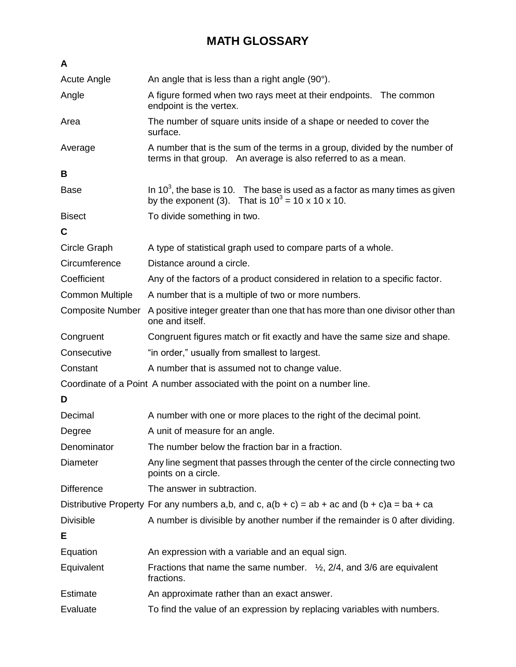# **MATH GLOSSARY**

| A                                                                          |                                                                                                                                                   |
|----------------------------------------------------------------------------|---------------------------------------------------------------------------------------------------------------------------------------------------|
| Acute Angle                                                                | An angle that is less than a right angle (90°).                                                                                                   |
| Angle                                                                      | A figure formed when two rays meet at their endpoints. The common<br>endpoint is the vertex.                                                      |
| Area                                                                       | The number of square units inside of a shape or needed to cover the<br>surface.                                                                   |
| Average                                                                    | A number that is the sum of the terms in a group, divided by the number of<br>terms in that group. An average is also referred to as a mean.      |
| В                                                                          |                                                                                                                                                   |
| <b>Base</b>                                                                | In $10^3$ , the base is 10. The base is used as a factor as many times as given<br>by the exponent (3). That is $10^3 = 10 \times 10 \times 10$ . |
| <b>Bisect</b>                                                              | To divide something in two.                                                                                                                       |
| C                                                                          |                                                                                                                                                   |
| Circle Graph                                                               | A type of statistical graph used to compare parts of a whole.                                                                                     |
| Circumference                                                              | Distance around a circle.                                                                                                                         |
| Coefficient                                                                | Any of the factors of a product considered in relation to a specific factor.                                                                      |
| <b>Common Multiple</b>                                                     | A number that is a multiple of two or more numbers.                                                                                               |
| <b>Composite Number</b>                                                    | A positive integer greater than one that has more than one divisor other than<br>one and itself.                                                  |
| Congruent                                                                  | Congruent figures match or fit exactly and have the same size and shape.                                                                          |
| Consecutive                                                                | "in order," usually from smallest to largest.                                                                                                     |
| Constant                                                                   | A number that is assumed not to change value.                                                                                                     |
| Coordinate of a Point A number associated with the point on a number line. |                                                                                                                                                   |
| D                                                                          |                                                                                                                                                   |
| Decimal                                                                    | A number with one or more places to the right of the decimal point.                                                                               |
| Degree                                                                     | A unit of measure for an angle.                                                                                                                   |
| Denominator                                                                | The number below the fraction bar in a fraction.                                                                                                  |
| <b>Diameter</b>                                                            | Any line segment that passes through the center of the circle connecting two<br>points on a circle.                                               |
| <b>Difference</b>                                                          | The answer in subtraction.                                                                                                                        |
|                                                                            | Distributive Property For any numbers a,b, and c, $a(b + c) = ab + ac$ and $(b + c)a = ba + ca$                                                   |
| <b>Divisible</b>                                                           | A number is divisible by another number if the remainder is 0 after dividing.                                                                     |
| Е                                                                          |                                                                                                                                                   |
| Equation                                                                   | An expression with a variable and an equal sign.                                                                                                  |
| Equivalent                                                                 | Fractions that name the same number. $\frac{1}{2}$ , 2/4, and 3/6 are equivalent<br>fractions.                                                    |
| <b>Estimate</b>                                                            | An approximate rather than an exact answer.                                                                                                       |
| Evaluate                                                                   | To find the value of an expression by replacing variables with numbers.                                                                           |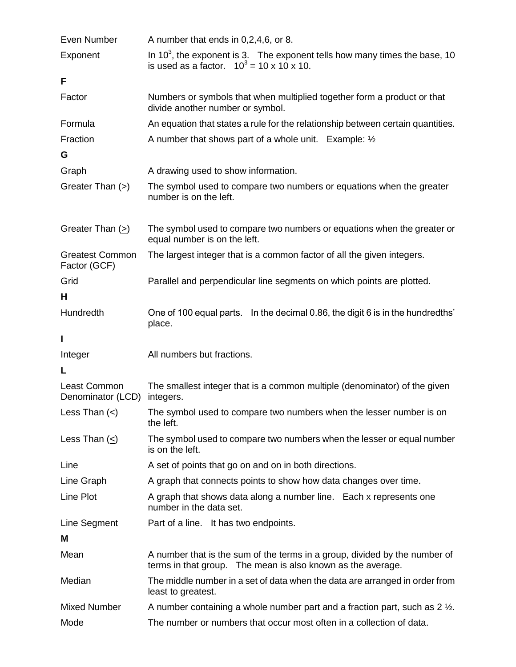| Even Number                            | A number that ends in 0,2,4,6, or 8.                                                                                                      |
|----------------------------------------|-------------------------------------------------------------------------------------------------------------------------------------------|
| Exponent                               | In $103$ , the exponent is 3. The exponent tells how many times the base, 10<br>is used as a factor. $10^3 = 10 \times 10 \times 10$ .    |
| F                                      |                                                                                                                                           |
| Factor                                 | Numbers or symbols that when multiplied together form a product or that<br>divide another number or symbol.                               |
| Formula                                | An equation that states a rule for the relationship between certain quantities.                                                           |
| Fraction                               | A number that shows part of a whole unit. Example: $\frac{1}{2}$                                                                          |
| G                                      |                                                                                                                                           |
| Graph                                  | A drawing used to show information.                                                                                                       |
| Greater Than (>)                       | The symbol used to compare two numbers or equations when the greater<br>number is on the left.                                            |
| Greater Than $(2)$                     | The symbol used to compare two numbers or equations when the greater or<br>equal number is on the left.                                   |
| <b>Greatest Common</b><br>Factor (GCF) | The largest integer that is a common factor of all the given integers.                                                                    |
| Grid                                   | Parallel and perpendicular line segments on which points are plotted.                                                                     |
| н                                      |                                                                                                                                           |
| Hundredth                              | One of 100 equal parts. In the decimal 0.86, the digit 6 is in the hundredths'<br>place.                                                  |
|                                        |                                                                                                                                           |
| I                                      |                                                                                                                                           |
| Integer                                | All numbers but fractions.                                                                                                                |
| L                                      |                                                                                                                                           |
| Least Common<br>Denominator (LCD)      | The smallest integer that is a common multiple (denominator) of the given<br>integers.                                                    |
| Less Than $(<)$                        | The symbol used to compare two numbers when the lesser number is on<br>the left.                                                          |
| Less Than $(\le)$                      | The symbol used to compare two numbers when the lesser or equal number<br>is on the left.                                                 |
| Line                                   | A set of points that go on and on in both directions.                                                                                     |
| Line Graph                             | A graph that connects points to show how data changes over time.                                                                          |
| Line Plot                              | A graph that shows data along a number line. Each x represents one<br>number in the data set.                                             |
| Line Segment                           | Part of a line. It has two endpoints.                                                                                                     |
| м                                      |                                                                                                                                           |
| Mean                                   | A number that is the sum of the terms in a group, divided by the number of<br>terms in that group. The mean is also known as the average. |
| Median                                 | The middle number in a set of data when the data are arranged in order from<br>least to greatest.                                         |
| <b>Mixed Number</b>                    | A number containing a whole number part and a fraction part, such as $2\frac{1}{2}$ .                                                     |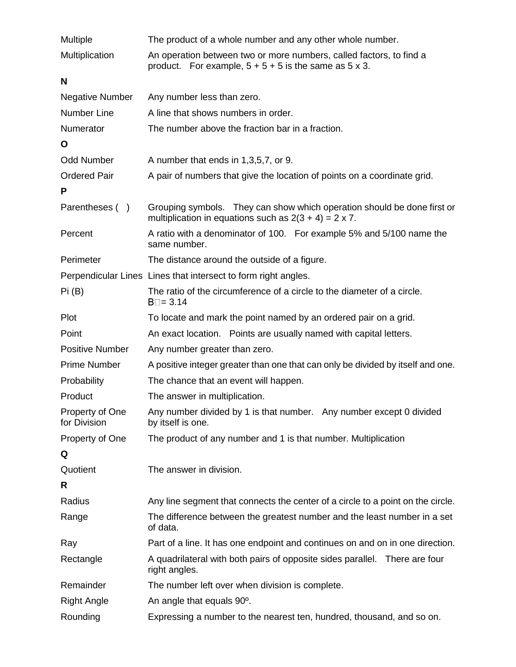| Multiple                        | The product of a whole number and any other whole number.                                                                                |
|---------------------------------|------------------------------------------------------------------------------------------------------------------------------------------|
| Multiplication                  | An operation between two or more numbers, called factors, to find a<br>product. For example, $5 + 5 + 5$ is the same as $5 \times 3$ .   |
| N                               |                                                                                                                                          |
| <b>Negative Number</b>          | Any number less than zero.                                                                                                               |
| <b>Number Line</b>              | A line that shows numbers in order.                                                                                                      |
| Numerator                       | The number above the fraction bar in a fraction.                                                                                         |
| O                               |                                                                                                                                          |
| <b>Odd Number</b>               | A number that ends in 1,3,5,7, or 9.                                                                                                     |
| <b>Ordered Pair</b>             | A pair of numbers that give the location of points on a coordinate grid.                                                                 |
| P                               |                                                                                                                                          |
| Parentheses ()                  | Grouping symbols. They can show which operation should be done first or<br>multiplication in equations such as $2(3 + 4) = 2 \times 7$ . |
| Percent                         | A ratio with a denominator of 100. For example 5% and 5/100 name the<br>same number.                                                     |
| Perimeter                       | The distance around the outside of a figure.                                                                                             |
|                                 | Perpendicular Lines Lines that intersect to form right angles.                                                                           |
| Pi(B)                           | The ratio of the circumference of a circle to the diameter of a circle.<br>$B = 3.14$                                                    |
| Plot                            | To locate and mark the point named by an ordered pair on a grid.                                                                         |
| Point                           | An exact location. Points are usually named with capital letters.                                                                        |
| <b>Positive Number</b>          | Any number greater than zero.                                                                                                            |
| <b>Prime Number</b>             | A positive integer greater than one that can only be divided by itself and one.                                                          |
| Probability                     | The chance that an event will happen.                                                                                                    |
| Product                         | The answer in multiplication.                                                                                                            |
| Property of One<br>for Division | Any number divided by 1 is that number. Any number except 0 divided<br>by itself is one.                                                 |
| Property of One                 | The product of any number and 1 is that number. Multiplication                                                                           |
| Q                               |                                                                                                                                          |
| Quotient                        | The answer in division.                                                                                                                  |
| R                               |                                                                                                                                          |
| Radius                          | Any line segment that connects the center of a circle to a point on the circle.                                                          |
| Range                           | The difference between the greatest number and the least number in a set<br>of data.                                                     |
| Ray                             | Part of a line. It has one endpoint and continues on and on in one direction.                                                            |
| Rectangle                       | A quadrilateral with both pairs of opposite sides parallel. There are four<br>right angles.                                              |
| Remainder                       | The number left over when division is complete.                                                                                          |
| <b>Right Angle</b>              | An angle that equals 90°.                                                                                                                |
| Rounding                        | Expressing a number to the nearest ten, hundred, thousand, and so on.                                                                    |